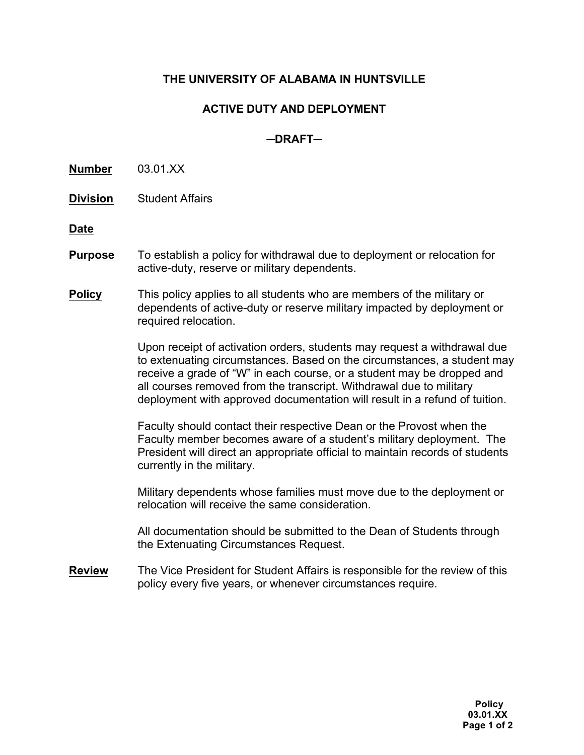## **THE UNIVERSITY OF ALABAMA IN HUNTSVILLE**

## **ACTIVE DUTY AND DEPLOYMENT**

## **─DRAFT─**

**Number** 03.01.XX

**Division** Student Affairs

**Date**

- **Purpose** To establish a policy for withdrawal due to deployment or relocation for active-duty, reserve or military dependents.
- **Policy** This policy applies to all students who are members of the military or dependents of active-duty or reserve military impacted by deployment or required relocation.

Upon receipt of activation orders, students may request a withdrawal due to extenuating circumstances. Based on the circumstances, a student may receive a grade of "W" in each course, or a student may be dropped and all courses removed from the transcript. Withdrawal due to military deployment with approved documentation will result in a refund of tuition.

Faculty should contact their respective Dean or the Provost when the Faculty member becomes aware of a student's military deployment. The President will direct an appropriate official to maintain records of students currently in the military.

Military dependents whose families must move due to the deployment or relocation will receive the same consideration.

All documentation should be submitted to the Dean of Students through the Extenuating Circumstances Request.

**Review** The Vice President for Student Affairs is responsible for the review of this policy every five years, or whenever circumstances require.